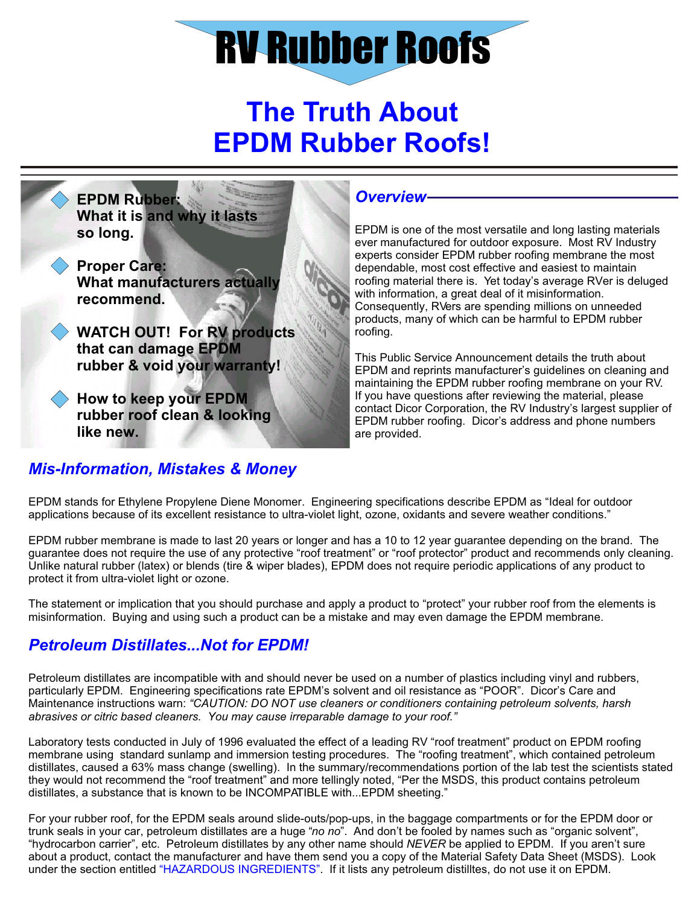# RV Rubber Roofs

## **The Truth About EPDM Rubber Roofs!**



#### *Overview*

EPDM is one of the most versatile and long lasting materials ever manufactured for outdoor exposure. Most RV Industry experts consider EPDM rubber roofing membrane the most dependable, most cost effective and easiest to maintain roofing material there is. Yet today's average RVer is deluged with information, a great deal of it misinformation. Consequently, RVers are spending millions on unneeded products, many of which can be harmful to EPDM rubber roofing.

This Public Service Announcement details the truth about EPDM and reprints manufacturer's guidelines on cleaning and maintaining the EPDM rubber roofing membrane on your RV. If you have questions after reviewing the material, please contact Dicor Corporation, the RV Industry's largest supplier of EPDM rubber roofing. Dicor's address and phone numbers are provided.

### EPDM stands for Ethylene Propylene Diene Monomer. Engineering specifications describe EPDM as "Ideal for outdoor

applications because of its excellent resistance to ultra-violet light, ozone, oxidants and severe weather conditions."

EPDM rubber membrane is made to last 20 years or longer and has a 10 to 12 year guarantee depending on the brand. The guarantee does not require the use of any protective "roof treatment" or "roof protector" product and recommends only cleaning. Unlike natural rubber (latex) or blends (tire & wiper blades), EPDM does not require periodic applications of any product to protect it from ultra-violet light or ozone.

The statement or implication that you should purchase and apply a product to "protect" your rubber roof from the elements is misinformation. Buying and using such a product can be a mistake and may even damage the EPDM membrane.

#### *Petroleum Distillates...Not for EPDM!*

*Mis-Information, Mistakes & Money*

Petroleum distillates are incompatible with and should never be used on a number of plastics including vinyl and rubbers, particularly EPDM. Engineering specifications rate EPDM's solvent and oil resistance as "POOR". Dicor's Care and Maintenance instructions warn: *"CAUTION: DO NOT use cleaners or conditioners containing petroleum solvents, harsh abrasives or citric based cleaners. You may cause irreparable damage to your roof."*

Laboratory tests conducted in July of 1996 evaluated the effect of a leading RV "roof treatment" product on EPDM roofing membrane using standard sunlamp and immersion testing procedures. The "roofing treatment", which contained petroleum distillates, caused a 63% mass change (swelling). In the summary/recommendations portion of the lab test the scientists stated they would not recommend the "roof treatment" and more tellingly noted, "Per the MSDS, this product contains petroleum distillates, a substance that is known to be INCOMPATIBLE with...EPDM sheeting."

under the section entitled "HAZARDOUS INGREDIENTS". If it lists any petroleum distilltes, do not use it on EPDM. For your rubber roof, for the EPDM seals around slide-outs/pop-ups, in the baggage compartments or for the EPDM door or trunk seals in your car, petroleum distillates are a huge "*no no*". And don't be fooled by names such as "organic solvent", "hydrocarbon carrier", etc. Petroleum distillates by any other name should *NEVER* be applied to EPDM. If you aren't sure about a product, contact the manufacturer and have them send you a copy of the Material Safety Data Sheet (MSDS). Look